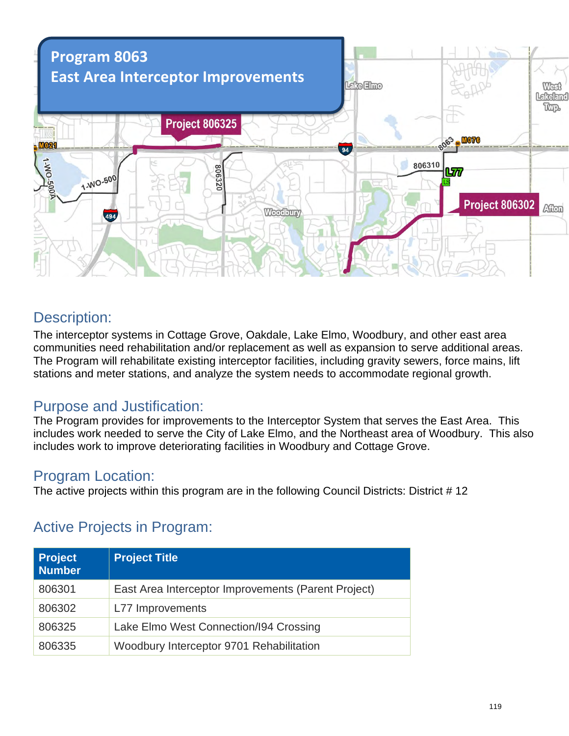

### Description:

The interceptor systems in Cottage Grove, Oakdale, Lake Elmo, Woodbury, and other east area communities need rehabilitation and/or replacement as well as expansion to serve additional areas. The Program will rehabilitate existing interceptor facilities, including gravity sewers, force mains, lift stations and meter stations, and analyze the system needs to accommodate regional growth.

### Purpose and Justification:

The Program provides for improvements to the Interceptor System that serves the East Area. This includes work needed to serve the City of Lake Elmo, and the Northeast area of Woodbury. This also includes work to improve deteriorating facilities in Woodbury and Cottage Grove.

### Program Location:

The active projects within this program are in the following Council Districts: District #12

### Active Projects in Program:

| <b>Project</b><br>Number | <b>Project Title</b>                                |
|--------------------------|-----------------------------------------------------|
| 806301                   | East Area Interceptor Improvements (Parent Project) |
| 806302                   | <b>L77 Improvements</b>                             |
| 806325                   | Lake Elmo West Connection/194 Crossing              |
| 806335                   | Woodbury Interceptor 9701 Rehabilitation            |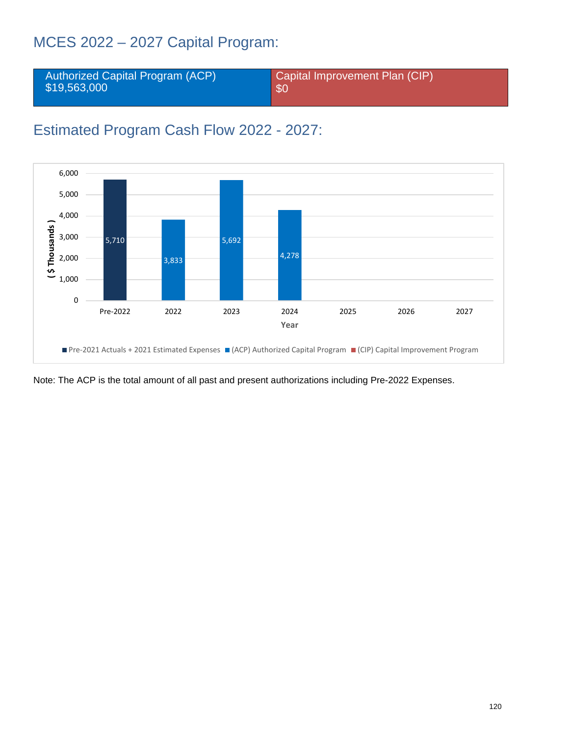### MCES 2022 – 2027 Capital Program:

| Capital Improvement Plan (CIP)<br>Authorized Capital Program (ACP)<br>\$19,563,000<br>$\sqrt{60}$ |
|---------------------------------------------------------------------------------------------------|
|---------------------------------------------------------------------------------------------------|

## Estimated Program Cash Flow 2022 - 2027:



Note: The ACP is the total amount of all past and present authorizations including Pre-2022 Expenses.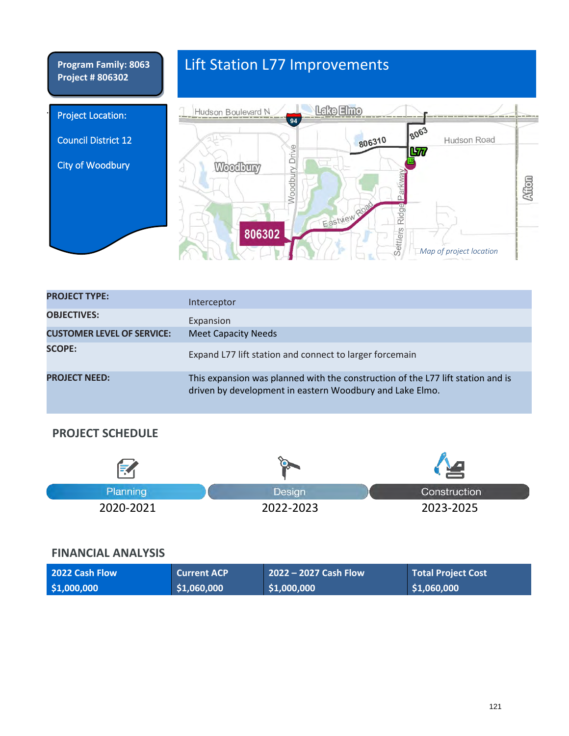**Program Family: 8063 Project # 806302**

## Lift Station L77 Improvements



| <b>PROJECT TYPE:</b>              | Interceptor                                                                                                                                 |
|-----------------------------------|---------------------------------------------------------------------------------------------------------------------------------------------|
| <b>OBJECTIVES:</b>                | Expansion                                                                                                                                   |
| <b>CUSTOMER LEVEL OF SERVICE:</b> | <b>Meet Capacity Needs</b>                                                                                                                  |
| <b>SCOPE:</b>                     | Expand L77 lift station and connect to larger forcemain                                                                                     |
| <b>PROJECT NEED:</b>              | This expansion was planned with the construction of the L77 lift station and is<br>driven by development in eastern Woodbury and Lake Elmo. |

#### **PROJECT SCHEDULE**

| Planning  | Design    | Construction |
|-----------|-----------|--------------|
| 2020-2021 | 2022-2023 | 2023-2025    |

#### **FINANCIAL ANALYSIS**

| 2022 Cash Flow | <b>Current ACP</b> | $2022 - 2027$ Cash Flow | <b>Total Project Cost</b> |
|----------------|--------------------|-------------------------|---------------------------|
| \$1,000,000    | \$1,060,000        | \$1,000,000             | $\frac{1}{2}$ \$1,060,000 |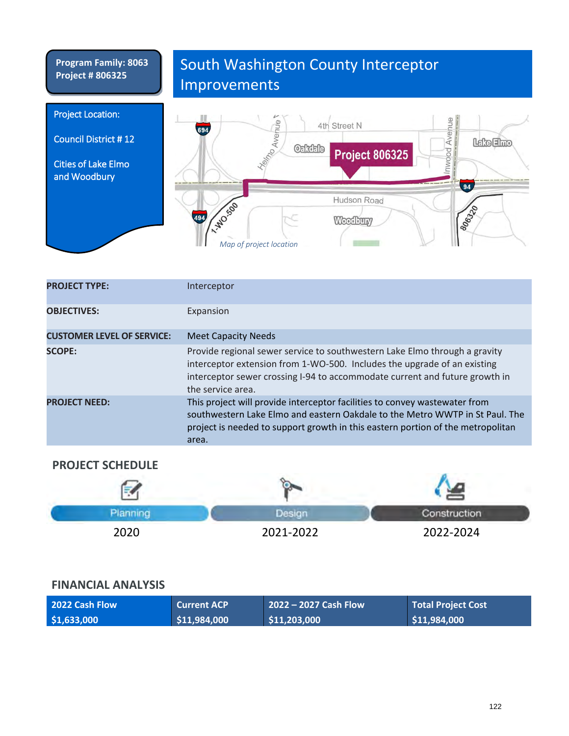#### **Program Family: 8063 Project # 806325**

## South Washington County Interceptor Improvements



| <b>PROJECT TYPE:</b>              | Interceptor                                                                                                                                                                                                                                                |
|-----------------------------------|------------------------------------------------------------------------------------------------------------------------------------------------------------------------------------------------------------------------------------------------------------|
| <b>OBJECTIVES:</b>                | Expansion                                                                                                                                                                                                                                                  |
| <b>CUSTOMER LEVEL OF SERVICE:</b> | <b>Meet Capacity Needs</b>                                                                                                                                                                                                                                 |
| <b>SCOPE:</b>                     | Provide regional sewer service to southwestern Lake Elmo through a gravity<br>interceptor extension from 1-WO-500. Includes the upgrade of an existing<br>interceptor sewer crossing I-94 to accommodate current and future growth in<br>the service area. |
| <b>PROJECT NEED:</b>              | This project will provide interceptor facilities to convey wastewater from<br>southwestern Lake Elmo and eastern Oakdale to the Metro WWTP in St Paul. The<br>project is needed to support growth in this eastern portion of the metropolitan<br>area.     |

#### **PROJECT SCHEDULE**

|                                                                  |           | Construction |
|------------------------------------------------------------------|-----------|--------------|
| the contract of the contract of the contract of the con-<br>2020 | 2021-2022 | 2022-2024    |

#### **FINANCIAL ANALYSIS**

| 2022 Cash Flow | <b>Current ACP</b> | $2022 - 2027$ Cash Flow | <b>Total Project Cost</b> |
|----------------|--------------------|-------------------------|---------------------------|
| \$1,633,000    | \$11,984,000       | \$11,203,000            | \$11,984,000              |